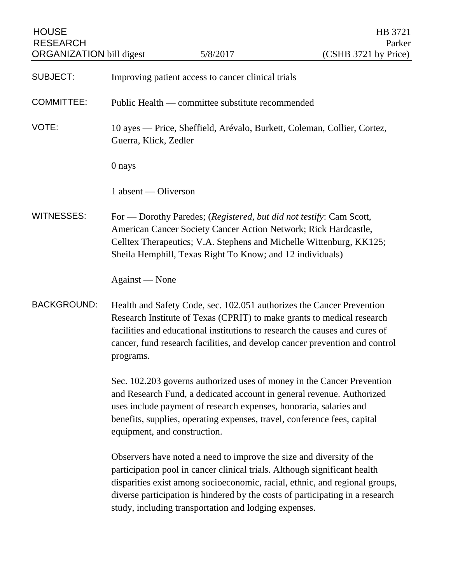| <b>HOUSE</b><br><b>RESEARCH</b><br><b>ORGANIZATION</b> bill digest |                                                  | 5/8/2017                                                                                                                                                                                            | HB 3721<br>Parker<br>(CSHB 3721 by Price)                                                                                                                                                                                                                                                                     |
|--------------------------------------------------------------------|--------------------------------------------------|-----------------------------------------------------------------------------------------------------------------------------------------------------------------------------------------------------|---------------------------------------------------------------------------------------------------------------------------------------------------------------------------------------------------------------------------------------------------------------------------------------------------------------|
| <b>SUBJECT:</b>                                                    |                                                  | Improving patient access to cancer clinical trials                                                                                                                                                  |                                                                                                                                                                                                                                                                                                               |
| <b>COMMITTEE:</b>                                                  | Public Health — committee substitute recommended |                                                                                                                                                                                                     |                                                                                                                                                                                                                                                                                                               |
| VOTE:                                                              | Guerra, Klick, Zedler                            |                                                                                                                                                                                                     | 10 ayes — Price, Sheffield, Arévalo, Burkett, Coleman, Collier, Cortez,                                                                                                                                                                                                                                       |
|                                                                    | 0 nays                                           |                                                                                                                                                                                                     |                                                                                                                                                                                                                                                                                                               |
|                                                                    | 1 absent — Oliverson                             |                                                                                                                                                                                                     |                                                                                                                                                                                                                                                                                                               |
| <b>WITNESSES:</b>                                                  |                                                  | For — Dorothy Paredes; (Registered, but did not testify: Cam Scott,<br>American Cancer Society Cancer Action Network; Rick Hardcastle,<br>Sheila Hemphill, Texas Right To Know; and 12 individuals) | Celltex Therapeutics; V.A. Stephens and Michelle Wittenburg, KK125;                                                                                                                                                                                                                                           |
|                                                                    | Against — None                                   |                                                                                                                                                                                                     |                                                                                                                                                                                                                                                                                                               |
| <b>BACKGROUND:</b>                                                 | programs.                                        |                                                                                                                                                                                                     | Health and Safety Code, sec. 102.051 authorizes the Cancer Prevention<br>Research Institute of Texas (CPRIT) to make grants to medical research<br>facilities and educational institutions to research the causes and cures of<br>cancer, fund research facilities, and develop cancer prevention and control |
|                                                                    | equipment, and construction.                     | uses include payment of research expenses, honoraria, salaries and                                                                                                                                  | Sec. 102.203 governs authorized uses of money in the Cancer Prevention<br>and Research Fund, a dedicated account in general revenue. Authorized<br>benefits, supplies, operating expenses, travel, conference fees, capital                                                                                   |
|                                                                    |                                                  | Observers have noted a need to improve the size and diversity of the<br>study, including transportation and lodging expenses.                                                                       | participation pool in cancer clinical trials. Although significant health<br>disparities exist among socioeconomic, racial, ethnic, and regional groups,<br>diverse participation is hindered by the costs of participating in a research                                                                     |